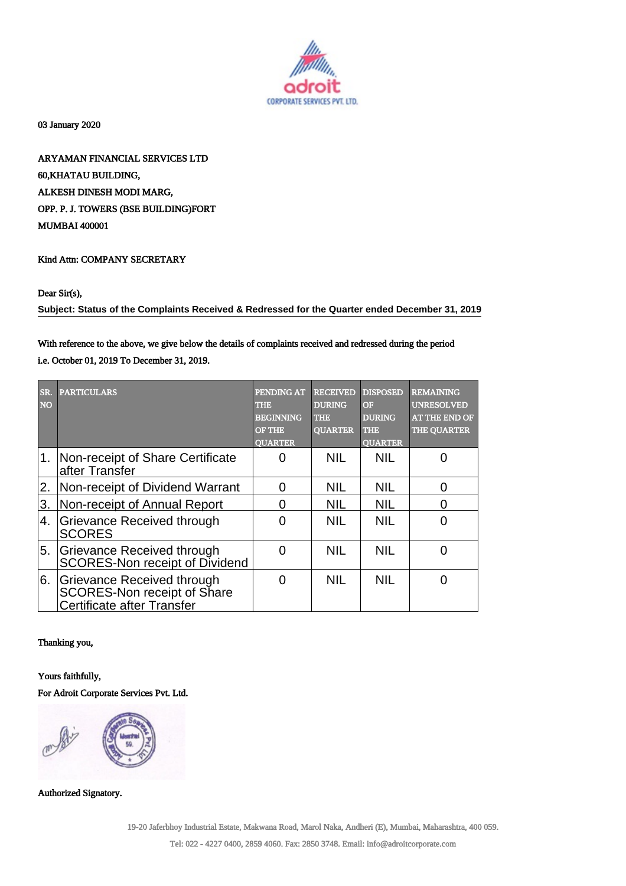

03 January 2020

ARYAMAN FINANCIAL SERVICES LTD 60,KHATAU BUILDING, ALKESH DINESH MODI MARG, OPP. P. J. TOWERS (BSE BUILDING)FORT MUMBAI 400001

## Kind Attn: COMPANY SECRETARY

### Dear Sir(s),

**Subject: Status of the Complaints Received & Redressed for the Quarter ended December 31, 2019**

# With reference to the above, we give below the details of complaints received and redressed during the period

i.e. October 01, 2019 To December 31, 2019.

| SR.<br><b>NO</b> | <b>PARTICULARS</b>                                                                      | PENDING AT<br>THE<br><b>BEGINNING</b><br><b>OF THE</b><br><b>OUARTER</b> | <b>RECEIVED</b><br><b>DURING</b><br><b>THE</b><br><b>OUARTER</b> | <b>DISPOSED</b><br>OF<br><b>DURING</b><br>THE<br><b>OUARTER</b> | <b>REMAINING</b><br><b>UNRESOLVED</b><br>AT THE END OF<br><b>THE QUARTER</b> |
|------------------|-----------------------------------------------------------------------------------------|--------------------------------------------------------------------------|------------------------------------------------------------------|-----------------------------------------------------------------|------------------------------------------------------------------------------|
|                  | 1. Non-receipt of Share Certificate<br>after Transfer                                   | $\mathbf{\Omega}$                                                        | <b>NIL</b>                                                       | <b>NIL</b>                                                      |                                                                              |
| 2.               | Non-receipt of Dividend Warrant                                                         | O                                                                        | <b>NIL</b>                                                       | <b>NIL</b>                                                      | ∩                                                                            |
| 3.               | Non-receipt of Annual Report                                                            | O                                                                        | <b>NIL</b>                                                       | <b>NIL</b>                                                      |                                                                              |
| 4.               | Grievance Received through<br><b>SCORES</b>                                             | ∩                                                                        | <b>NIL</b>                                                       | <b>NIL</b>                                                      |                                                                              |
| 5.               | Grievance Received through<br>SCORES-Non receipt of Dividend                            | ∩                                                                        | <b>NIL</b>                                                       | <b>NIL</b>                                                      |                                                                              |
| 6.               | Grievance Received through<br>SCORES-Non receipt of Share<br>Certificate after Transfer | ∩                                                                        | <b>NIL</b>                                                       | <b>NIL</b>                                                      |                                                                              |

### Thanking you,

#### Yours faithfully,

For Adroit Corporate Services Pvt. Ltd.



Authorized Signatory.

19-20 Jaferbhoy Industrial Estate, Makwana Road, Marol Naka, Andheri (E), Mumbai, Maharashtra, 400 059.